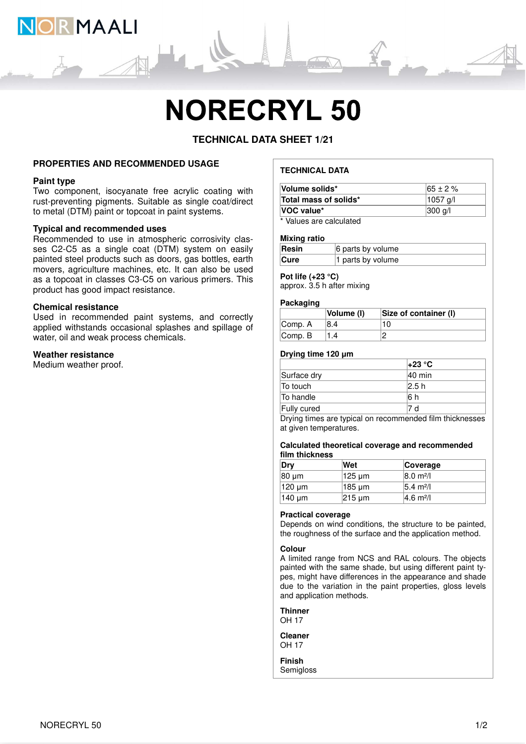

# **NORECRYL 50**

# **TECHNICAL DATA SHEET 1/21**

# **PROPERTIES AND RECOMMENDED USAGE**

#### **Paint type**

Two component, isocyanate free acrylic coating with rust-preventing pigments. Suitable as single coat/direct to metal (DTM) paint or topcoat in paint systems.

# **Typical and recommended uses**

Recommended to use in atmospheric corrosivity classes C2-C5 as a single coat (DTM) system on easily painted steel products such as doors, gas bottles, earth movers, agriculture machines, etc. It can also be used as a topcoat in classes C3-C5 on various primers. This product has good impact resistance.

#### **Chemical resistance**

Used in recommended paint systems, and correctly applied withstands occasional splashes and spillage of water, oil and weak process chemicals.

# **Weather resistance**

Medium weather proof.

# **TECHNICAL DATA**

| Volume solids*                | $165 \pm 2 \%$     |
|-------------------------------|--------------------|
| Total mass of solids*         | 1057 a/l           |
| VOC value*                    | $ 300 \text{ q}/ $ |
| * Malerea and a classic to di |                    |

Values are calculated

#### **Mixing ratio**

| Resin       | 6 parts by volume |
|-------------|-------------------|
| <b>Cure</b> | 1 parts by volume |

# **Pot life (+23 °C)**

approx. 3.5 h after mixing

#### **Packaging**

|                     | Volume (I) | Size of container (I) |
|---------------------|------------|-----------------------|
| Comp. A             |            |                       |
| $\mathsf{Comp}$ . B |            |                       |

## **Drying time 120 μm**

|             | $+23 °C$           |
|-------------|--------------------|
| Surface dry | $ 40 \text{ min} $ |
| To touch    | 2.5 h              |
| To handle   | 16 h               |
| Fully cured | d                  |
|             | .<br>.             |

Drying times are typical on recommended film thicknesses at given temperatures.

#### **Calculated theoretical coverage and recommended film thickness**

| Dry    | Wet                | Coverage                     |
|--------|--------------------|------------------------------|
| 80 um  | 125 µm             | $ 8.0 \text{ m}^2/\text{l} $ |
| 120 um | 185 µm             | $ 5.4 \text{ m}^2 $          |
| 140 um | $ 215 \text{ µm} $ | $ 4.6 \text{ m}^2/\text{l} $ |

# **Practical coverage**

Depends on wind conditions, the structure to be painted, the roughness of the surface and the application method.

#### **Colour**

A limited range from NCS and RAL colours. The objects painted with the same shade, but using different paint types, might have differences in the appearance and shade due to the variation in the paint properties, gloss levels and application methods.

**Thinner** OH 17

**Cleaner** OH 17

**Finish Semigloss**